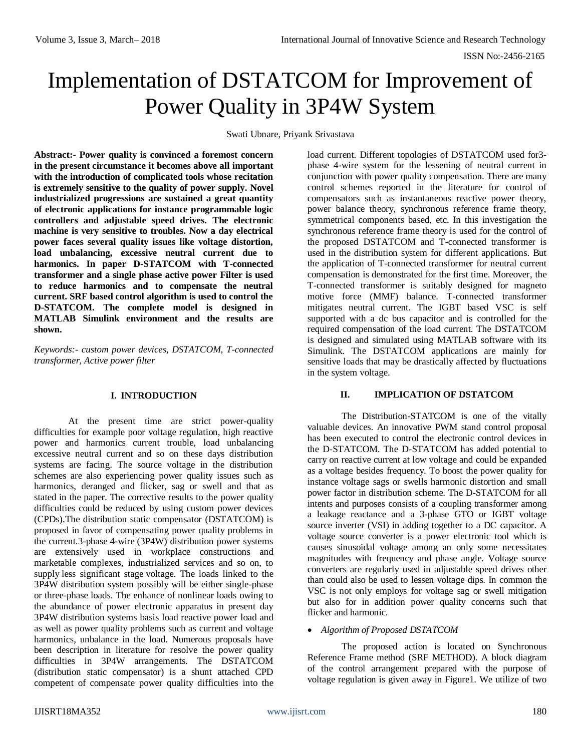# Implementation of DSTATCOM for Improvement of Power Quality in 3P4W System

Swati Ubnare, Priyank Srivastava

**Abstract:- Power quality is convinced a foremost concern in the present circumstance it becomes above all important with the introduction of complicated tools whose recitation is extremely sensitive to the quality of power supply. Novel industrialized progressions are sustained a great quantity of electronic applications for instance programmable logic controllers and adjustable speed drives. The electronic machine is very sensitive to troubles. Now a day electrical power faces several quality issues like voltage distortion, load unbalancing, excessive neutral current due to harmonics. In paper D-STATCOM with T-connected transformer and a single phase active power Filter is used to reduce harmonics and to compensate the neutral current. SRF based control algorithm is used to control the D-STATCOM. The complete model is designed in MATLAB Simulink environment and the results are shown.** 

*Keywords:- custom power devices, DSTATCOM, T-connected transformer, Active power filter*

# **I. INTRODUCTION**

At the present time are strict power-quality difficulties for example poor voltage regulation, high reactive power and harmonics current trouble, load unbalancing excessive neutral current and so on these days distribution systems are facing. The source voltage in the distribution schemes are also experiencing power quality issues such as harmonics, deranged and flicker, sag or swell and that as stated in the paper. The corrective results to the power quality difficulties could be reduced by using custom power devices (CPDs).The distribution static compensator (DSTATCOM) is proposed in favor of compensating power quality problems in the current.3-phase 4-wire (3P4W) distribution power systems are extensively used in workplace constructions and marketable complexes, industrialized services and so on, to supply less significant stage voltage. The loads linked to the 3P4W distribution system possibly will be either single-phase or three-phase loads. The enhance of nonlinear loads owing to the abundance of power electronic apparatus in present day 3P4W distribution systems basis load reactive power load and as well as power quality problems such as current and voltage harmonics, unbalance in the load. Numerous proposals have been description in literature for resolve the power quality difficulties in 3P4W arrangements. The DSTATCOM (distribution static compensator) is a shunt attached CPD competent of compensate power quality difficulties into the

load current. Different topologies of DSTATCOM used for3 phase 4-wire system for the lessening of neutral current in conjunction with power quality compensation. There are many control schemes reported in the literature for control of compensators such as instantaneous reactive power theory, power balance theory, synchronous reference frame theory, symmetrical components based, etc. In this investigation the synchronous reference frame theory is used for the control of the proposed DSTATCOM and T-connected transformer is used in the distribution system for different applications. But the application of T-connected transformer for neutral current compensation is demonstrated for the first time. Moreover, the T-connected transformer is suitably designed for magneto motive force (MMF) balance. T-connected transformer mitigates neutral current. The IGBT based VSC is self supported with a dc bus capacitor and is controlled for the required compensation of the load current. The DSTATCOM is designed and simulated using MATLAB software with its Simulink. The DSTATCOM applications are mainly for sensitive loads that may be drastically affected by fluctuations in the system voltage.

# **II. IMPLICATION OF DSTATCOM**

The Distribution-STATCOM is one of the vitally valuable devices. An innovative PWM stand control proposal has been executed to control the electronic control devices in the D-STATCOM. The D-STATCOM has added potential to carry on reactive current at low voltage and could be expanded as a voltage besides frequency. To boost the power quality for instance voltage sags or swells harmonic distortion and small power factor in distribution scheme. The D-STATCOM for all intents and purposes consists of a coupling transformer among a leakage reactance and a 3-phase GTO or IGBT voltage source inverter (VSI) in adding together to a DC capacitor. A voltage source converter is a power electronic tool which is causes sinusoidal voltage among an only some necessitates magnitudes with frequency and phase angle. Voltage source converters are regularly used in adjustable speed drives other than could also be used to lessen voltage dips. In common the VSC is not only employs for voltage sag or swell mitigation but also for in addition power quality concerns such that flicker and harmonic.

# *Algorithm of Proposed DSTATCOM*

The proposed action is located on Synchronous Reference Frame method (SRF METHOD). A block diagram of the control arrangement prepared with the purpose of voltage regulation is given away in Figure1. We utilize of two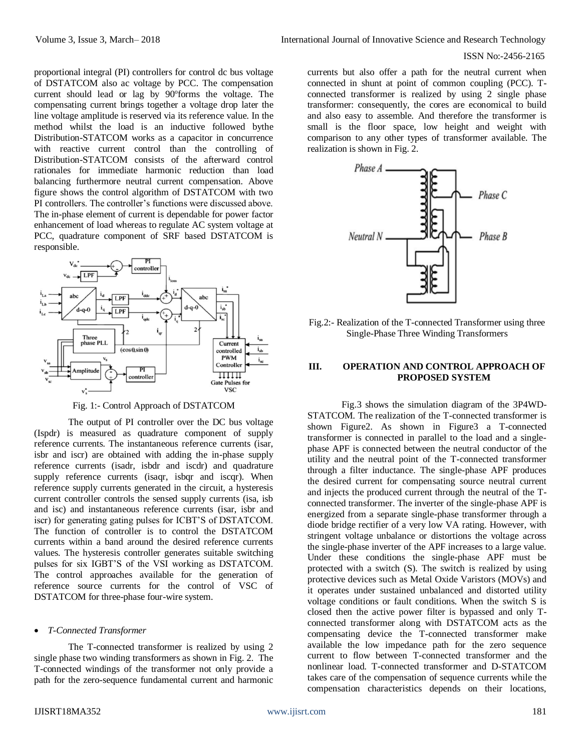#### ISSN No:-2456-2165

proportional integral (PI) controllers for control dc bus voltage of DSTATCOM also ac voltage by PCC. The compensation current should lead or lag by 90° forms the voltage. The compensating current brings together a voltage drop later the line voltage amplitude is reserved via its reference value. In the method whilst the load is an inductive followed bythe Distribution-STATCOM works as a capacitor in concurrence with reactive current control than the controlling of Distribution-STATCOM consists of the afterward control rationales for immediate harmonic reduction than load balancing furthermore neutral current compensation. Above figure shows the control algorithm of DSTATCOM with two PI controllers. The controller's functions were discussed above. The in-phase element of current is dependable for power factor enhancement of load whereas to regulate AC system voltage at PCC, quadrature component of SRF based DSTATCOM is responsible.



Fig. 1:- Control Approach of DSTATCOM

The output of PI controller over the DC bus voltage (Ispdr) is measured as quadrature component of supply reference currents. The instantaneous reference currents (isar, isbr and iscr) are obtained with adding the in-phase supply reference currents (isadr, isbdr and iscdr) and quadrature supply reference currents (isaqr, isbqr and iscqr). When reference supply currents generated in the circuit, a hysteresis current controller controls the sensed supply currents (isa, isb and isc) and instantaneous reference currents (isar, isbr and iscr) for generating gating pulses for ICBT'S of DSTATCOM. The function of controller is to control the DSTATCOM currents within a band around the desired reference currents values. The hysteresis controller generates suitable switching pulses for six IGBT'S of the VSI working as DSTATCOM. The control approaches available for the generation of reference source currents for the control of VSC of DSTATCOM for three-phase four-wire system.

#### *T-Connected Transformer*

The T-connected transformer is realized by using 2 single phase two winding transformers as shown in Fig. 2. The T-connected windings of the transformer not only provide a path for the zero-sequence fundamental current and harmonic

currents but also offer a path for the neutral current when connected in shunt at point of common coupling (PCC). Tconnected transformer is realized by using 2 single phase transformer: consequently, the cores are economical to build and also easy to assemble. And therefore the transformer is small is the floor space, low height and weight with comparison to any other types of transformer available. The realization is shown in Fig. 2.



Fig.2:- Realization of the T-connected Transformer using three Single-Phase Three Winding Transformers

## **III. OPERATION AND CONTROL APPROACH OF PROPOSED SYSTEM**

Fig.3 shows the simulation diagram of the 3P4WD-STATCOM. The realization of the T-connected transformer is shown Figure2. As shown in Figure3 a T-connected transformer is connected in parallel to the load and a singlephase APF is connected between the neutral conductor of the utility and the neutral point of the T-connected transformer through a filter inductance. The single-phase APF produces the desired current for compensating source neutral current and injects the produced current through the neutral of the Tconnected transformer. The inverter of the single-phase APF is energized from a separate single-phase transformer through a diode bridge rectifier of a very low VA rating. However, with stringent voltage unbalance or distortions the voltage across the single-phase inverter of the APF increases to a large value. Under these conditions the single-phase APF must be protected with a switch (S). The switch is realized by using protective devices such as Metal Oxide Varistors (MOVs) and it operates under sustained unbalanced and distorted utility voltage conditions or fault conditions. When the switch S is closed then the active power filter is bypassed and only Tconnected transformer along with DSTATCOM acts as the compensating device the T-connected transformer make available the low impedance path for the zero sequence current to flow between T-connected transformer and the nonlinear load. T-connected transformer and D-STATCOM takes care of the compensation of sequence currents while the compensation characteristics depends on their locations,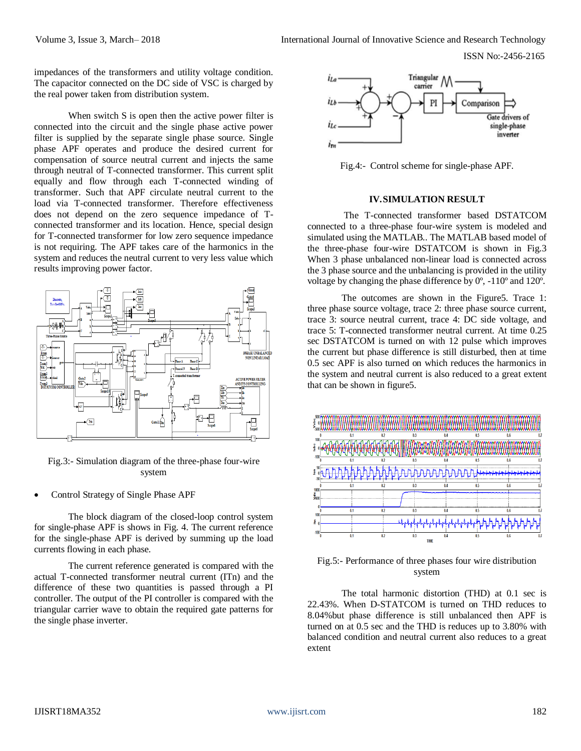ISSN No:-2456-2165

impedances of the transformers and utility voltage condition. The capacitor connected on the DC side of VSC is charged by the real power taken from distribution system.

When switch S is open then the active power filter is connected into the circuit and the single phase active power filter is supplied by the separate single phase source. Single phase APF operates and produce the desired current for compensation of source neutral current and injects the same through neutral of T-connected transformer. This current split equally and flow through each T-connected winding of transformer. Such that APF circulate neutral current to the load via T-connected transformer. Therefore effectiveness does not depend on the zero sequence impedance of Tconnected transformer and its location. Hence, special design for T-connected transformer for low zero sequence impedance is not requiring. The APF takes care of the harmonics in the system and reduces the neutral current to very less value which results improving power factor.



Fig.3:- Simulation diagram of the three-phase four-wire system

Control Strategy of Single Phase APF

The block diagram of the closed-loop control system for single-phase APF is shows in Fig. 4. The current reference for the single-phase APF is derived by summing up the load currents flowing in each phase.

The current reference generated is compared with the actual T-connected transformer neutral current (ITn) and the difference of these two quantities is passed through a PI controller. The output of the PI controller is compared with the triangular carrier wave to obtain the required gate patterns for the single phase inverter.



Fig.4:- Control scheme for single-phase APF.

#### **IV.SIMULATION RESULT**

The T-connected transformer based DSTATCOM connected to a three-phase four-wire system is modeled and simulated using the MATLAB.. The MATLAB based model of the three-phase four-wire DSTATCOM is shown in Fig.3 When 3 phase unbalanced non-linear load is connected across the 3 phase source and the unbalancing is provided in the utility voltage by changing the phase difference by 0º, -110º and 120º.

The outcomes are shown in the Figure5. Trace 1: three phase source voltage, trace 2: three phase source current, trace 3: source neutral current, trace 4: DC side voltage, and trace 5: T-connected transformer neutral current. At time 0.25 sec DSTATCOM is turned on with 12 pulse which improves the current but phase difference is still disturbed, then at time 0.5 sec APF is also turned on which reduces the harmonics in the system and neutral current is also reduced to a great extent that can be shown in figure5.



Fig.5:- Performance of three phases four wire distribution system

The total harmonic distortion (THD) at 0.1 sec is 22.43%. When D-STATCOM is turned on THD reduces to 8.04%but phase difference is still unbalanced then APF is turned on at 0.5 sec and the THD is reduces up to 3.80% with balanced condition and neutral current also reduces to a great extent